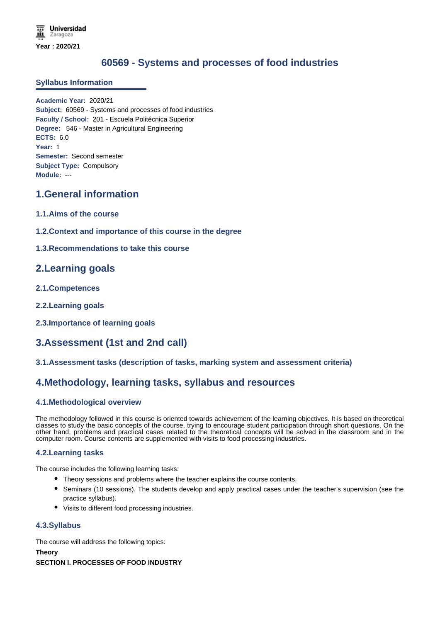# **60569 - Systems and processes of food industries**

### **Syllabus Information**

**Academic Year:** 2020/21 **Subject:** 60569 - Systems and processes of food industries **Faculty / School:** 201 - Escuela Politécnica Superior **Degree:** 546 - Master in Agricultural Engineering **ECTS:** 6.0 **Year:** 1 **Semester:** Second semester **Subject Type:** Compulsory **Module:** ---

# **1.General information**

- **1.1.Aims of the course**
- **1.2.Context and importance of this course in the degree**
- **1.3.Recommendations to take this course**

## **2.Learning goals**

- **2.1.Competences**
- **2.2.Learning goals**
- **2.3.Importance of learning goals**

# **3.Assessment (1st and 2nd call)**

**3.1.Assessment tasks (description of tasks, marking system and assessment criteria)**

## **4.Methodology, learning tasks, syllabus and resources**

## **4.1.Methodological overview**

The methodology followed in this course is oriented towards achievement of the learning objectives. It is based on theoretical classes to study the basic concepts of the course, trying to encourage student participation through short questions. On the other hand, problems and practical cases related to the theoretical concepts will be solved in the classroom and in the computer room. Course contents are supplemented with visits to food processing industries.

### **4.2.Learning tasks**

The course includes the following learning tasks:

- Theory sessions and problems where the teacher explains the course contents.
- Seminars (10 sessions). The students develop and apply practical cases under the teacher's supervision (see the practice syllabus).
- Visits to different food processing industries.

## **4.3.Syllabus**

The course will address the following topics:

**Theory SECTION I. PROCESSES OF FOOD INDUSTRY**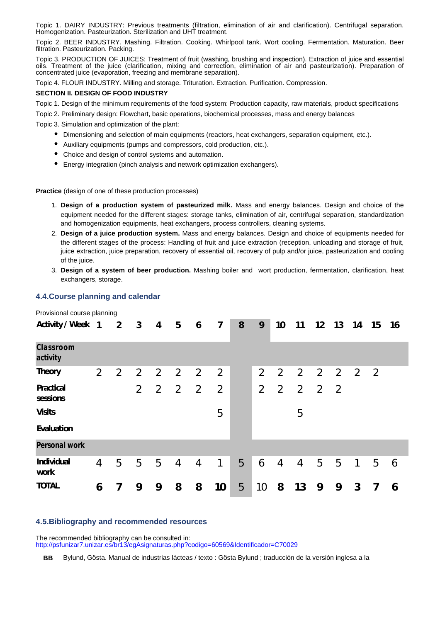Topic 1. DAIRY INDUSTRY: Previous treatments (filtration, elimination of air and clarification). Centrifugal separation. Homogenization. Pasteurization. Sterilization and UHT treatment.

Topic 2. BEER INDUSTRY. Mashing. Filtration. Cooking. Whirlpool tank. Wort cooling. Fermentation. Maturation. Beer filtration. Pasteurization. Packing.

Topic 3. PRODUCTION OF JUICES: Treatment of fruit (washing, brushing and inspection). Extraction of juice and essential oils. Treatment of the juice (clarification, mixing and correction, elimination of air and pasteurization). Preparation of concentrated juice (evaporation, freezing and membrane separation).

Topic 4. FLOUR INDUSTRY. Milling and storage. Trituration. Extraction. Purification. Compression.

#### **SECTION II. DESIGN OF FOOD INDUSTRY**

Topic 1. Design of the minimum requirements of the food system: Production capacity, raw materials, product specifications

Topic 2. Preliminary design: Flowchart, basic operations, biochemical processes, mass and energy balances

Topic 3. Simulation and optimization of the plant:

- Dimensioning and selection of main equipments (reactors, heat exchangers, separation equipment, etc.).
- Auxiliary equipments (pumps and compressors, cold production, etc.).
- Choice and design of control systems and automation.
- Energy integration (pinch analysis and network optimization exchangers).

**Practice** (design of one of these production processes)

- 1. **Design of a production system of pasteurized milk.** Mass and energy balances. Design and choice of the equipment needed for the different stages: storage tanks, elimination of air, centrifugal separation, standardization and homogenization equipments, heat exchangers, process controllers, cleaning systems.
- 2. **Design of a juice production system.** Mass and energy balances. Design and choice of equipments needed for the different stages of the process: Handling of fruit and juice extraction (reception, unloading and storage of fruit, juice extraction, juice preparation, recovery of essential oil, recovery of pulp and/or juice, pasteurization and cooling of the juice.
- 3. **Design of a system of beer production.** Mashing boiler and wort production, fermentation, clarification, heat exchangers, storage.

### **4.4.Course planning and calendar**

Provisional course planning **Activity / Week 1 2 3 4 5 6 7 8 9 10 11 12 13 14 15 16 17** *Classroom activity* **Theory** 2 2 2 2 2 2 2 2 2 2 2 2 2 2 **Practical sessions** 2 2 2 2 2 2 2 2 2 2 **Visits** 5 5 **Evaluation**  *Personal work* **Individual work** 4 5 5 5 4 4 1 5 6 4 4 5 5 1 5 6 **TOTAL 6 7 9 9 8 8 10** 5 10 **8 13 9 9 3 7 6**

### **4.5.Bibliography and recommended resources**

The recommended bibliography can be consulted in: http://psfunizar7.unizar.es/br13/egAsignaturas.php?codigo=60569&Identificador=C70029

**BB** Bylund, Gösta. Manual de industrias lácteas / texto : Gösta Bylund ; traducción de la versión inglesa a la